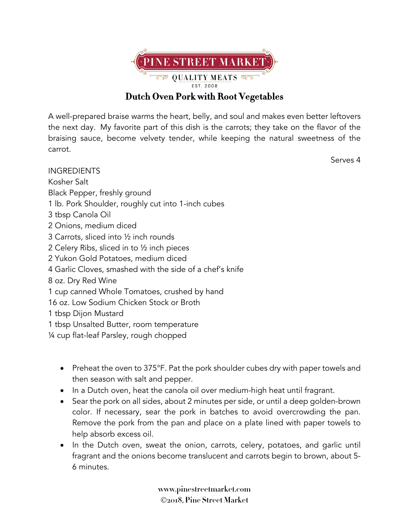

## **Dutch Oven Pork with Root Vegetables**

A well-prepared braise warms the heart, belly, and soul and makes even better leftovers the next day. My favorite part of this dish is the carrots; they take on the flavor of the braising sauce, become velvety tender, while keeping the natural sweetness of the carrot.

Serves 4

## INGREDIENTS

- Kosher Salt Black Pepper, freshly ground 1 lb. Pork Shoulder, roughly cut into 1-inch cubes 3 tbsp Canola Oil 2 Onions, medium diced 3 Carrots, sliced into ½ inch rounds 2 Celery Ribs, sliced in to ½ inch pieces 2 Yukon Gold Potatoes, medium diced 4 Garlic Cloves, smashed with the side of a chef's knife 8 oz. Dry Red Wine 1 cup canned Whole Tomatoes, crushed by hand 16 oz. Low Sodium Chicken Stock or Broth 1 tbsp Dijon Mustard 1 tbsp Unsalted Butter, room temperature ¼ cup flat-leaf Parsley, rough chopped
	- Preheat the oven to 375°F. Pat the pork shoulder cubes dry with paper towels and then season with salt and pepper.
	- In a Dutch oven, heat the canola oil over medium-high heat until fragrant.
	- Sear the pork on all sides, about 2 minutes per side, or until a deep golden-brown color. If necessary, sear the pork in batches to avoid overcrowding the pan. Remove the pork from the pan and place on a plate lined with paper towels to help absorb excess oil.
	- In the Dutch oven, sweat the onion, carrots, celery, potatoes, and garlic until fragrant and the onions become translucent and carrots begin to brown, about 5- 6 minutes.

**www.pinestreetmarket.com** Ó**2018, Pine Street Market**